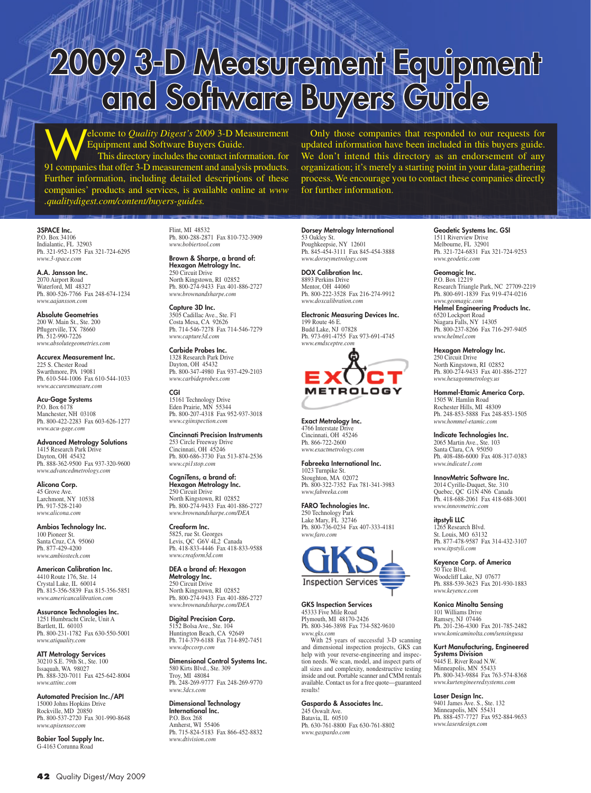# 2009 3-D Measurement Equipment and Software Buyers Guide

Welcome to *Quality Digest's* 2009 3-D Measurement Equipment and Software Buyers Guide. This directory includes the contact information. for 91 companies that offer 3-D measurement and analysis products. Further information, including detailed descriptions of these companies' products and services, is available online at *www .qualitydigest.com/content/buyers-guides.*

Only those companies that responded to our requests for updated information have been included in this buyers guide. We don't intend this directory as an endorsement of any organization; it's merely a starting point in your data-gathering process. We encourage you to contact these companies directly for further information.

#### 3SPACE Inc.

P.O. Box 34106 Indialantic, FL 32903 Ph. 321-952-1575 Fax 321-724-6295 *www.3-space.com*

A.A. Jansson Inc. 2070 Airport Road Waterford, MI 48327 Ph. 800-526-7766 Fax 248-674-1234 *www.aajansson.com*

Absolute Geometries 200 W. Main St., Ste. 200 Pflugerville, TX 78660 Ph. 512-990-7226 *www.absolutegeometries.com*

Accurex Measurement Inc. 225 S. Chester Road Swarthmore, PA 19081 Ph. 610-544-1006 Fax 610-544-1033 *www.accurexmeasure.com*

**Acu-Gage Systems**<br>P.O. Box 6178 Manchester, NH 03108 Ph. 800-422-2283 Fax 603-626-1277 *www.acu-gage.com*

Advanced Metrology Solutions 1415 Research Park Drive Dayton, OH 45432 Ph. 888-362-9500 Fax 937-320-9600 *www.advancedmetrology.com*

Alicona Corp. 45 Grove Ave. Larchmont, NY 10538 Ph. 917-528-2140 *www.alicona.com*

Ambios Technology Inc. 100 Pioneer St. Santa Cruz, CA 95060 Ph. 877-429-4200 *www.ambiostech.com*

American Calibration Inc. 4410 Route 176, Ste. 14 Crystal Lake, IL 60014 Ph. 815-356-5839 Fax 815-356-5851 *www.americancalibration.com*

Assurance Technologies Inc. 1251 Humbracht Circle, Unit A Bartlett, IL 60103 Ph. 800-231-1782 Fax 630-550-5001 *www.atiquality.com*

ATT Metrology Services 30210 S.E. 79th St., Ste. 100 Issaquah, WA 98027 Ph. 888-320-7011 Fax 425-642-8004 *www.attinc.com*

Automated Precision Inc./API 15000 Johns Hopkins Drive Rockville, MD 20850 Ph. 800-537-2720 Fax 301-990-8648 *www.apisensor.com*

Bobier Tool Supply Inc. G-4163 Corunna Road

Flint, MI 48532 Ph. 800-288-2871 Fax 810-732-3909 *www.bobiertool.com*

Brown & Sharpe, a brand of: Hexagon Metrology Inc. 250 Circuit Drive North Kingstown, RI 02852 Ph. 800-274-9433 Fax 401-886-2727 *www.brownandsharpe.com*

Capture 3D Inc. 3505 Cadillac Ave., Ste. F1 Costa Mesa, CA 92626 Ph. 714-546-7278 Fax 714-546-7279 *www.capture3d.com*

Carbide Probes Inc. 1328 Research Park Drive Dayton, OH 45432 Ph. 800-347-4980 Fax 937-429-2103 *www.carbideprobes.com*

CGI 15161 Technology Drive Eden Prairie, MN 55344 Ph. 800-207-4318 Fax 952-937-3018 *www.cgiinspection.com*

Cincinnati Precision Instruments 253 Circle Freeway Drive Cincinnati, OH 45246 Ph. 800-686-3730 Fax 513-874-2536 *www.cpi1stop.com*

CogniTens, a brand of: Hexagon Metrology Inc. 250 Circuit Drive North Kingstown, RI 02852 Ph. 800-274-9433 Fax 401-886-2727 *www.brownandsharpe.com/DEA*

Creaform Inc. 5825, rue St. Georges Levis, OC, G6V 4L2 Canada Ph. 418-833-4446 Fax 418-833-9588 *www.creaform3d.com*

DEA a brand of: Hexagon Metrology Inc. 250 Circuit Drive North Kingstown, RI 02852 Ph. 800-274-9433 Fax 401-886-2727 *www.brownandsharpe.com/DEA*

Digital Precision Corp. 5152 Bolsa Ave., Ste. 104 Huntington Beach, CA 92649 Ph. 714-379-6188 Fax 714-892-7451 *www.dpccorp.com*

Dimensional Control Systems Inc. 580 Kirts Blvd., Ste. 309 Troy, MI 48084 Ph. 248-269-9777 Fax 248-269-9770 *www.3dcs.com*

Dimensional Technology International Inc. P.O. Box 268 Amherst, WI 55406 Ph. 715-824-5183 Fax 866-452-8832 *www.dtivision.com*

**Dorsey Metrology International**<br>53 Oakley St. Poughkeepsie, NY 12601 Ph. 845-454-3111 Fax 845-454-3888 *www.dorseymetrology.com*

DOX Calibration Inc. 8893 Perkins Drive Mentor, OH 44060 Ph. 800-222-3528 Fax 216-274-9912 *www.doxcalibration.com*

Electronic Measuring Devices Inc. 199 Route 46 E. Budd Lake, NJ 07828 Ph. 973-691-4755 Fax 973-691-4745 *www.emdsceptre.com*



Exact Metrology Inc. 4766 Interstate Drive Cincinnati, OH 45246 Ph. 866-722-2600 *www.exactmetrology.com*

Fabreeka International Inc. 1023 Turnpike St. Stoughton, MA 02072 Ph. 800-322-7352 Fax 781-341-3983 *www.fabreeka.com*

FARO Technologies Inc. 250 Technology Park Lake Mary, FL 32746 Ph. 800-736-0234 Fax 407-333-4181 *www.faro.com*



#### GKS Inspection Services

45333 Five Mile Road Plymouth, MI 48170-2426 Ph. 800-346-3898 Fax 734-582-9610 *www.gks.com*

With 25 years of successful 3-D scanning and dimensional inspection projects, GKS can help with your reverse-engineering and inspection needs. We scan, model, and inspect parts of all sizes and complexity, nondestructive testing inside and out. Portable scanner and CMM rentals available. Contact us for a free quote—guaranteed results!

#### Gaspardo & Associates Inc.

245 Oswalt Ave. Batavia, IL 60510 Ph. 630-761-8800 Fax 630-761-8802 *www.gaspardo.com*

Geodetic Systems Inc. GSI 1511 Riverview Drive Melbourne, FL 32901 Ph. 321-724-6831 Fax 321-724-9253 *www.geodetic.com*

### **Geomagic Inc.**<br>P.O. Box 12219

Research Triangle Park, NC 27709-2219 Ph. 800-691-1839 Fax 919-474-0216 *www.geomagic.com*

Helmel Engineering Products Inc. 6520 Lockport Road Niagara Falls, NY 14305 Ph. 800-237-8266 Fax 716-297-9405 *www.helmel.com*

#### Hexagon Metrology Inc.

250 Circuit Drive North Kingstown, RI 02852 Ph. 800-274-9433 Fax 401-886-2727 *www.hexagonmetrology.us*

Hommel-Etamic America Corp. 1505 W. Hamlin Road Rochester Hills, MI 48309 Ph. 248-853-5888 Fax 248-853-1505 *www.hommel-etamic.com*

Indicate Technologies Inc.

2065 Martin Ave., Ste. 103 Santa Clara, CA 95050 Ph. 408-486-6000 Fax 408-317-0383 *www.indicate1.com*

#### InnovMetric Software Inc.

2014 Cyrille-Duquet, Ste. 310 Quebec, QC G1N 4N6 Canada Ph. 418-688-2061 Fax 418-688-3001 *www.innovmetric.com*

#### itpstyli LLC

1265 Research Blvd. St. Louis, MO 63132 Ph. 877-478-9587 Fax 314-432-3107 *www.itpstyli.com*

#### Keyence Corp. of America

50 Tice Blvd. Woodcliff Lake, NJ 07677 Ph. 888-539-3623 Fax 201-930-1883 *www.keyence.com*

#### Konica Minolta Sensing

101 Williams Drive Ramsey, NJ 07446 Ph. 201-236-4300 Fax 201-785-2482 *www.konicaminolta.com/sensingusa*

#### Kurt Manufacturing, Engineered Systems Division

9445 E. River Road N.W. Minneapolis, MN 55433 Ph. 800-343-9884 Fax 763-574-8368 *www.kurtengineeredsystems.com*

#### Laser Design Inc.

9401 James Ave. S., Ste. 132 Minneapolis, MN 55431 Ph. 888-457-7727 Fax 952-884-9653 *www.laserdesign.com*